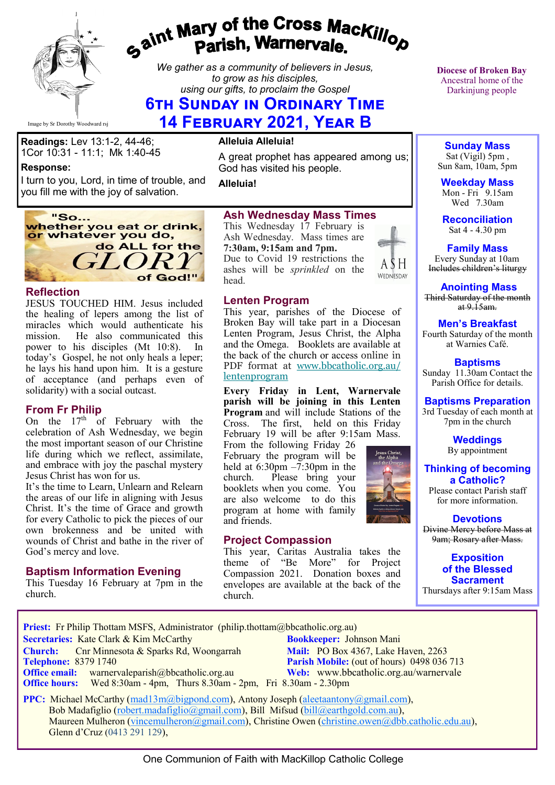

# gaint Mary of the Cross Mackillop<br>Parish, Warnervale.

*We gather as a community of believers in Jesus, to grow as his disciples, using our gifts, to proclaim the Gospel*

## **6th Sunday in Ordinary Time**

**14 February 2021, Year B**

**Readings:** Lev 13:1-2, 44-46; 1Cor 10:31 - 11:1; Mk 1:40-45

#### **Response:**

I turn to you, Lord, in time of trouble, and you fill me with the joy of salvation.



#### **Reflection**

JESUS TOUCHED HIM. Jesus included the healing of lepers among the list of miracles which would authenticate his mission. He also communicated this power to his disciples (Mt 10:8). In today's Gospel, he not only heals a leper; he lays his hand upon him. It is a gesture of acceptance (and perhaps even of solidarity) with a social outcast.

#### **From Fr Philip**

On the  $17<sup>th</sup>$  of February with the celebration of Ash Wednesday, we begin the most important season of our Christine life during which we reflect, assimilate, and embrace with joy the paschal mystery Jesus Christ has won for us.

It's the time to Learn, Unlearn and Relearn the areas of our life in aligning with Jesus Christ. It's the time of Grace and growth for every Catholic to pick the pieces of our own brokenness and be united with wounds of Christ and bathe in the river of God's mercy and love.

#### **Baptism Information Evening**

This Tuesday 16 February at 7pm in the church.

#### **Alleluia Alleluia!**

A great prophet has appeared among us; God has visited his people.

**Alleluia!**

#### **Ash Wednesday Mass Times**

This Wednesday 17 February is Ash Wednesday. Mass times are **7:30am, 9:15am and 7pm.**

Due to Covid 19 restrictions the ashes will be *sprinkled* on the head.

#### **Lenten Program**

This year, parishes of the Diocese of Broken Bay will take part in a Diocesan Lenten Program, Jesus Christ, the Alpha and the Omega. Booklets are available at the back of the church or access online in PDF format at [www.bbcatholic.org.au/](https://bbcatholic.us8.list-manage.com/track/click?u=466af249e088db70ab864d088&id=ae739d8062&e=e312df0f80) [lentenprogram](https://bbcatholic.us8.list-manage.com/track/click?u=466af249e088db70ab864d088&id=ae739d8062&e=e312df0f80)

**Every Friday in Lent, Warnervale parish will be joining in this Lenten Program** and will include Stations of the Cross. The first, held on this Friday February 19 will be after 9:15am Mass.

From the following Friday 26 February the program will be held at 6:30pm –7:30pm in the church. Please bring your booklets when you come. You are also welcome to do this program at home with family and friends.

#### **Project Compassion**

This year, Caritas Australia takes the theme of "Be More" for Project Compassion 2021. Donation boxes and envelopes are available at the back of the church.

**Diocese of Broken Bay**  Ancestral home of the Darkinjung people

**Sunday Mass** Sat (Vigil) 5pm , Sun 8am, 10am, 5pm

**Weekday Mass** Mon - Fri  $9.15$ am Wed 7.30am

**Reconciliation** Sat 4 - 4.30 pm

**Family Mass**  Every Sunday at 10am Includes children's liturgy

**Anointing Mass** Third Saturday of the month at  $9.15$ am.

#### **Men's Breakfast**

Fourth Saturday of the month at Warnies Café.

**Baptisms** Sunday 11.30am Contact the Parish Office for details.

#### **Baptisms Preparation**

3rd Tuesday of each month at 7pm in the church

> **Weddings**  By appointment

**Thinking of becoming a Catholic?**

Please contact Parish staff for more information.

**Devotions** Divine Mercy before Mass at 9am; Rosary after Mass.

**Exposition of the Blessed Sacrament** Thursdays after 9:15am Mass

Priest: Fr Philip Thottam MSFS, Administrator (philip.thottam@bbcatholic.org.au)

**Secretaries:** Kate Clark & Kim McCarthy **Bookkeeper:** Johnson Mani **Church:** Cnr Minnesota & Sparks Rd, Woongarrah **Mail: PO Box 4367, Lake Haven, 2263**<br> **Parish Mobile:** (out of hours) 0498 036

**Office email:** warnervaleparish@bbcatholic.org.au **Web:** [www.bbcatholic.org.au/warnervale](https://www.bbcatholic.org.au/warnervale)  **Office hours:** Wed 8:30am - 4pm, Thurs 8.30am - 2pm, Fri 8.30am - 2.30pm

**Parish Mobile:** (out of hours) 0498 036 713

**PPC:** Michael McCarthy ([mad13m@bigpond.com\),](mailto:mad13m@bigpond.com) Antony Joseph ([aleetaantony@gmail.com\)](mailto:aleetaantony@gmail.com), Bob Madafiglio ([robert.madafiglio@gmail.com\),](mailto:robert.madafiglio@gmail.com) Bill Mifsud ([bill@earthgold.com.au\),](mailto:bill@earthgold.com.au) Maureen Mulheron [\(vincemulheron@gmail.com\),](mailto:vincemulheron@gmail.com) Christine Owen (christine.owe[n@dbb.catholic.edu.au\),](mailto:ann.jackson@dbb.catholic.edu.au) Glenn d'Cruz (0413 291 129),

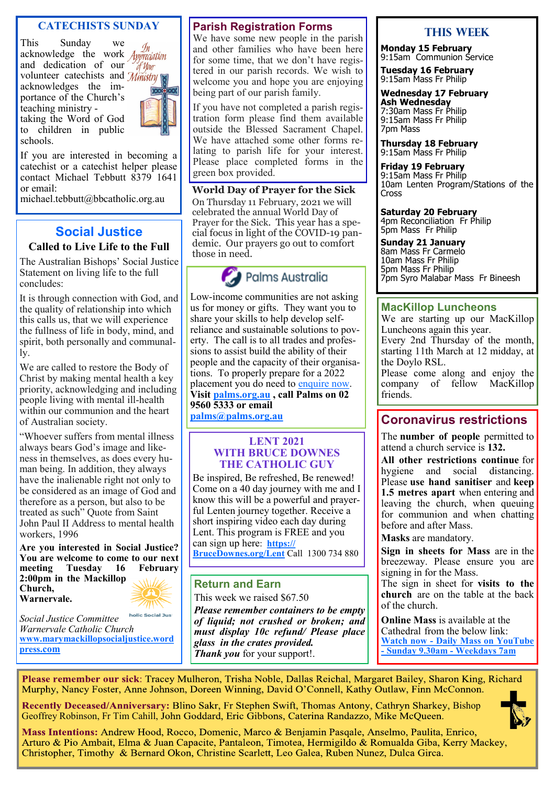#### **CATECHISTS SUNDAY**

This Sunday we acknowledge the work and dedication of our volunteer catechists and *Ministry* acknowledges the importance of the Church's teaching ministry taking the Word of God to children in public schools.

If you are interested in becoming a catechist or a catechist helper please contact Michael Tebbutt 8379 1641 or email:

michael.tebbutt@bbcatholic.org.au

#### **Social Justice**

#### **Called to Live Life to the Full**

The Australian Bishops' Social Justice Statement on living life to the full concludes:

It is through connection with God, and the quality of relationship into which this calls us, that we will experience the fullness of life in body, mind, and spirit, both personally and communally.

We are called to restore the Body of Christ by making mental health a key priority, acknowledging and including people living with mental ill-health within our communion and the heart of Australian society.

"Whoever suffers from mental illness always bears God's image and likeness in themselves, as does every human being. In addition, they always have the inalienable right not only to be considered as an image of God and therefore as a person, but also to be treated as such" Quote from Saint John Paul II Address to mental health workers, 1996

**Are you interested in Social Justice? You are welcome to come to our next meeting Tuesday 16 February 2:00pm in the Mackillop Church, Warnervale.** 

holic Social Just

*Social Justice Committee Warnervale Catholic Church*  **[www.marymackillopsocialjustice.word](http://www.marymackillopsocialjustice.wordpress.com) press[.com](http://www.marymackillopsocialjustice.wordpress.com)**

#### **Parish Registration Forms**

We have some new people in the parish and other families who have been here for some time, that we don't have registered in our parish records. We wish to welcome you and hope you are enjoying being part of our parish family.

If you have not completed a parish registration form please find them available outside the Blessed Sacrament Chapel. We have attached some other forms relating to parish life for your interest. Please place completed forms in the green box provided.

**World Day of Prayer for the Sick** On Thursday 11 February, 2021 we will celebrated the annual World Day of Prayer for the Sick. This year has a special focus in light of the COVID-19 pandemic. Our prayers go out to comfort those in need.

## Palms Australia

Low-income communities are not asking us for money or gifts. They want you to share your skills to help develop selfreliance and sustainable solutions to poverty. The call is to all trades and professions to assist build the ability of their people and the capacity of their organisations. To properly prepare for a 2022 placement you do need to [enquire now.](https://palms.org.au/assignments-abroad/) **Visit [palms.org.au](http://www.palms.org.au/) , call Palms on 02 9560 5333 or email [palms@palms.org.au](mailto:palms@palms.org.au)**

#### **LENT 2021 WITH BRUCE DOWNES THE CATHOLIC GUY**

Be inspired, Be refreshed, Be renewed! Come on a 40 day journey with me and I know this will be a powerful and prayerful Lenten journey together. Receive a short inspiring video each day during Lent. This program is FREE and you can sign up here: **[https://](https://BruceDownes.org/Lent)**

**[BruceDownes.org/Lent](https://BruceDownes.org/Lent)** Call 1300 734 880

#### **Return and Earn**

This week we raised \$67.50

*Please remember containers to be empty of liquid; not crushed or broken; and must display 10c refund/ Please place glass in the crates provided. Thank you* for your support!.

#### **This Week**

**Monday 15 February** 9:15am Communion Service

**Tuesday 16 February** 9:15am Mass Fr Philip

**Wednesday 17 February Ash Wednesday** 7:30am Mass Fr Philip 9:15am Mass Fr Philip 7pm Mass

**Thursday 18 February** 9:15am Mass Fr Philip

**Friday 19 February** 9:15am Mass Fr Philip 10am Lenten Program/Stations of the Cross

#### **Saturday 20 February**

4pm Reconciliation Fr Philip 5pm Mass Fr Philip

**Sunday 21 January** 8am Mass Fr Carmelo 10am Mass Fr Philip 5pm Mass Fr Philip 7pm Syro Malabar Mass Fr Bineesh

#### **MacKillop Luncheons**

We are starting up our MacKillop Luncheons again this year. Every 2nd Thursday of the month, starting 11th March at 12 midday, at the Doylo RSL.

Please come along and enjoy the company of fellow MacKillop friends.

#### **Coronavirus restrictions**

The **number of people** permitted to attend a church service is **132.**

**All other restrictions continue** for hygiene and social distancing. Please **use hand sanitiser** and **keep 1.5 metres apart** when entering and leaving the church, when queuing for communion and when chatting before and after Mass.

**Masks** are mandatory.

**Sign in sheets for Mass** are in the breezeway. Please ensure you are signing in for the Mass.

The sign in sheet for **visits to the church** are on the table at the back of the church.

**Online Mass** is available at the Cathedral from the below link: **Watch now - [Daily Mass on YouTube](https://www.youtube.com/channel/UCNenwlfI7i14XB9TsVBrLvQ/)  - [Sunday 9.30am](https://www.youtube.com/channel/UCNenwlfI7i14XB9TsVBrLvQ/) - Weekdays 7am**

Please remember our sick: Tracey Mulheron, Trisha Noble, Dallas Reichal, Margaret Bailey, Sharon King, Richard Murphy, Nancy Foster, Anne Johnson, Doreen Winning, David O'Connell, Kathy Outlaw, Finn McConnon.

Recently Deceased/Anniversary: Blino Sakr, Fr Stephen Swift, Thomas Antony, Cathryn Sharkey, Bishop Geoffrey Robinson, Fr Tim Cahill, John Goddard, Eric Gibbons, Caterina Randazzo, Mike McQueen.

Mass Intentions: Andrew Hood, Rocco, Domenic, Marco & Benjamin Pasqale, Anselmo, Paulita, Enrico, Arturo & Pio Ambait, Elma & Juan Capacite, Pantaleon, Timotea, Hermigildo & Romualda Giba, Kerry Mackey, Christopher, Timothy & Bernard Okon, Christine Scarlett, Leo Galea, Ruben Nunez, Dulca Girca.



 $\mathcal{N}_{\mathcal{U}}$ 

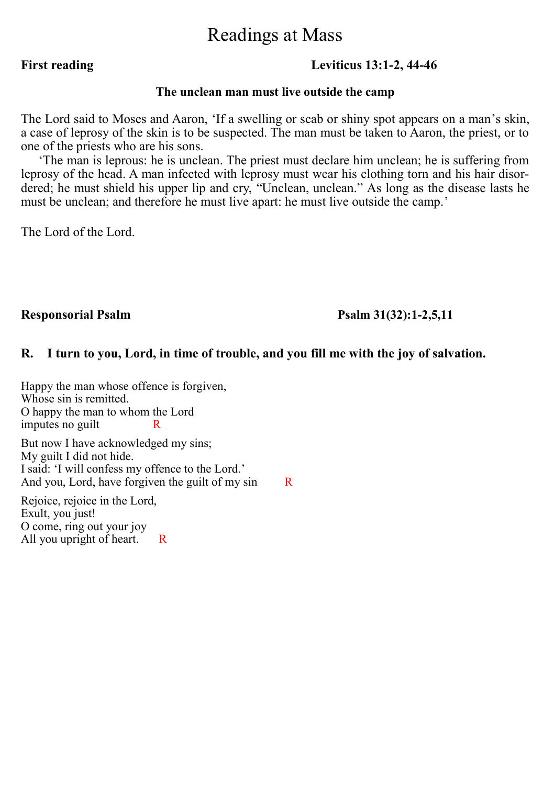## Readings at Mass

#### **First reading Leviticus 13:1-2, 44-46**

#### **The unclean man must live outside the camp**

The Lord said to Moses and Aaron, 'If a swelling or scab or shiny spot appears on a man's skin, a case of leprosy of the skin is to be suspected. The man must be taken to Aaron, the priest, or to one of the priests who are his sons.

 'The man is leprous: he is unclean. The priest must declare him unclean; he is suffering from leprosy of the head. A man infected with leprosy must wear his clothing torn and his hair disordered; he must shield his upper lip and cry, "Unclean, unclean." As long as the disease lasts he must be unclean; and therefore he must live apart: he must live outside the camp.'

The Lord of the Lord.

#### **Responsorial Psalm Psalm 31(32):1-2,5,11**

#### **R. I turn to you, Lord, in time of trouble, and you fill me with the joy of salvation.**

Happy the man whose offence is forgiven, Whose sin is remitted. O happy the man to whom the Lord imputes no guilt

But now I have acknowledged my sins; My guilt I did not hide. I said: 'I will confess my offence to the Lord.' And you, Lord, have for given the guilt of my sin  $\overline{R}$ 

Rejoice, rejoice in the Lord, Exult, you just! O come, ring out your joy All you upright of heart. R